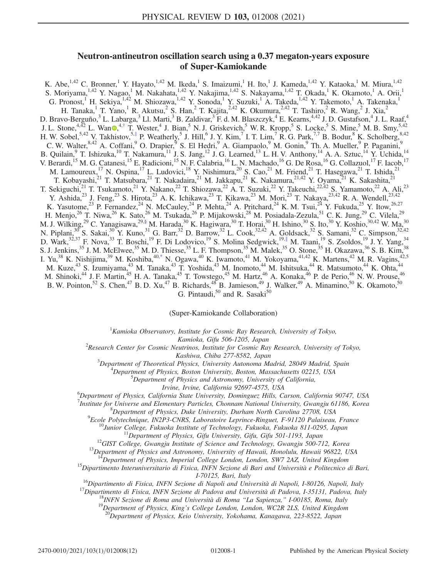# Neutron-antineutron oscillation search using a 0.37 megaton-years exposure of Super-Kamiokande

<span id="page-0-2"></span><span id="page-0-1"></span>K. Abe,<sup>1,42</sup> C. Bronner,<sup>1</sup> Y. Hayato,<sup>1,42</sup> M. Ikeda,<sup>1</sup> S. Imaizumi,<sup>1</sup> H. Ito,<sup>1</sup> J. Kameda,<sup>1,42</sup> Y. Kataoka,<sup>1</sup> M. Miura,<sup>1,42</sup> S. Moriyama,<sup>1,42</sup> Y. Nagao,<sup>1</sup> M. Nakahata,<sup>1,42</sup> Y. Nakajima,<sup>1,42</sup> S. Nakayama,<sup>1,42</sup> T. Okada,<sup>1</sup> K. Okamoto,<sup>1</sup> A. Orii,<sup>1</sup> G. Pronost,<sup>1</sup> H. Sekiya,<sup>1,42</sup> M. Shiozawa,<sup>1,42</sup> Y. Sonoda,<sup>1</sup> Y. Suzuki,<sup>1</sup> A. Takeda,<sup>1,42</sup> Y. Takemoto,<sup>1</sup> A. Takenaka,<sup>1</sup> H. Tanaka,<sup>1</sup> T. Yano,<sup>1</sup> R. Akutsu,<sup>2</sup> S. Han,<sup>2</sup> T. Kajita,<sup>2,42</sup> K. Okumura,<sup>2,42</sup> T. Tashiro,<sup>2</sup> R. Wang,<sup>2</sup> J. Xia,<sup>2</sup> D. Bravo-Berguño,<sup>3</sup> L. Labarga,<sup>3</sup> Ll. Marti,<sup>3</sup> B. Zaldivar,<sup>3</sup> F. d. M. Blaszczyk,<sup>4</sup> E. Kearns,<sup>4,42</sup> J. D. Gustafson,<sup>4</sup> J. L. Raaf,<sup>4</sup> J. L. Stone,<sup>4,42</sup> L. Wan [,](https://orcid.org/0000-0001-5524-6137)<sup>4,[†](#page-1-0)</sup> T. Wester,<sup>4</sup> J. Bian,<sup>5</sup> N. J. Griskevich,<sup>5</sup> W. R. Kropp,<sup>5</sup> S. Locke,<sup>5</sup> S. Mine,<sup>5</sup> M. B. Smy,<sup>5,42</sup> H. W. Sobel,  $5.42$  V. Takhistov,  $5.‡$  $5.‡$  P. Weatherly, 5 J. Hill, 6 J. Y. Kim, 7 I. T. Lim, 7 R. G. Park, 7,7 B. Bodur, 8 K. Scholberg,  $8.42$ C. W. Walter, <sup>8,42</sup> A. Coffani, <sup>9</sup> O. Drapier, <sup>9</sup> S. El Hedri, <sup>9</sup> A. Giampaolo, <sup>9</sup> M. Gonin, <sup>9</sup> Th. A. Mueller, <sup>9</sup> P. Paganini, <sup>9</sup> B. Quilain, <sup>9</sup> T. Ishizuka, <sup>10</sup> T. Nakamura, <sup>11</sup> J. S. Jang, <sup>12</sup> J. G. Learned, <sup>13</sup> L. H. V. Anthony, <sup>14</sup> A. A. Sztuc, <sup>14</sup> Y. Uchida, <sup>14</sup> V. Berardi,<sup>15</sup> M. G. Catanesi,<sup>15</sup> E. Radicioni,<sup>15</sup> N. F. Calabria,<sup>16</sup> L. N. Machado,<sup>16</sup> G. De Rosa,<sup>16</sup> G. Collazuol,<sup>17</sup> F. Iacob,<sup>17</sup> M. Lamoureux,<sup>17</sup> N. Ospina,<sup>17</sup> L. Ludovici,<sup>18</sup> Y. Nishimura,<sup>20</sup> S. Cao,<sup>21</sup> M. Friend,<sup>21</sup> T. Hasegawa,<sup>21</sup> T. Ishida,<sup>21</sup> T. Kobayashi,<sup>21</sup> T. Matsubara,<sup>21</sup> T. Nakadaira,<sup>21</sup> M. Jakkapu,<sup>21</sup> K. Nakamura,<sup>21,42</sup> Y. Oyama,<sup>21</sup> K. Sakashita,<sup>21</sup> T. Sekiguchi,<sup>21</sup> T. Tsukamoto,<sup>21</sup> Y. Nakano,<sup>22</sup> T. Shiozawa,<sup>22</sup> A. T. Suzuki,<sup>22</sup> Y. Takeuchi,<sup>22,42</sup> S. Yamamoto,<sup>22</sup> A. Ali,<sup>23</sup> Y. Ashida,<sup>23</sup> J. Feng,<sup>23</sup> S. Hirota,<sup>23</sup> A. K. Ichikawa,<sup>23</sup> T. Kikawa,<sup>23</sup> M. Mori,<sup>23</sup> T. Nakaya,<sup>23,42</sup> R. A. Wendell,<sup>23,42</sup> K. Yasutome,<sup>23</sup> P. Fernandez,<sup>24</sup> N. McCauley,<sup>24</sup> P. Mehta,<sup>24</sup> A. Pritchard,<sup>24</sup> K. M. Tsui,<sup>24</sup> Y. Fukuda,<sup>25</sup> Y. Itow,<sup>26,27</sup> H. Menjo,<sup>26</sup> T. Niwa,<sup>26</sup> K. Sato,<sup>26</sup> M. Tsukada,<sup>26</sup> P. Mijakowski,<sup>28</sup> M. Posiadala-Zezula,<sup>51</sup> C. K. Jung,<sup>29</sup> C. Vilela,<sup>29</sup> M. J. Wilking,<sup>29</sup> C. Yanagisawa,<sup>29[,§](#page-1-2)</sup> M. Harada,<sup>30</sup> K. Hagiwara,<sup>30</sup> T. Horai,<sup>30</sup> H. Ishino,<sup>30</sup> S. Ito,<sup>30</sup> Y. Koshio,<sup>30,42</sup> W. Ma,<sup>30</sup> N. Piplani,<sup>30</sup> S. Sakai,<sup>30</sup> Y. Kuno,<sup>31</sup> G. Barr,<sup>32</sup> D. Barrow,<sup>32</sup> L. Cook,<sup>32,42</sup> A. Goldsack,<sup>32</sup> S. Samani,<sup>32</sup> C. Simpson,<sup>32,42</sup> D. Wark,<sup>32,37</sup> F. Nova,<sup>33</sup> T. Boschi,<sup>19</sup> F. Di Lodovico,<sup>19</sup> S. Molina Sedgwick,<sup>19,[∥](#page-1-3)</sup> M. Taani,<sup>19</sup> S. Zsoldos,<sup>19</sup> J. Y. Yang,<sup>34</sup> S. J. Jenkins,<sup>35</sup> J. M. McElwee,<sup>35</sup> M. D. Thiesse,<sup>35</sup> L. F. Thompson,<sup>35</sup> M. Malek,<sup>35</sup> O. Stone,<sup>35</sup> H. Okazawa,<sup>36</sup> S. B. Kim,<sup>38</sup> I. Yu,<sup>38</sup> K. Nishijima,<sup>39</sup> M. Koshiba,<sup>4[0,\\*](#page-1-4)</sup> N. Ogawa,<sup>40</sup> K. Iwamoto,<sup>41</sup> M. Yokoyama,<sup>41,42</sup> K. Martens,<sup>42</sup> M. R. Vagins,<sup>42,5</sup> M. Kuze,<sup>43</sup> S. Izumiyama,<sup>43</sup> M. Tanaka,<sup>43</sup> T. Yoshida,<sup>43</sup> M. Inomoto,<sup>44</sup> M. Ishitsuka,<sup>44</sup> R. Matsumoto,<sup>44</sup> K. Ohta,<sup>44</sup> M. Shinoki,<sup>44</sup> J. F. Martin,<sup>45</sup> H. A. Tanaka,<sup>45</sup> T. Towstego,<sup>45</sup> M. Hartz,<sup>46</sup> A. Konaka,<sup>46</sup> P. de Perio,<sup>46</sup> N. W. Prouse,<sup>46</sup> B. W. Pointon,<sup>52</sup> S. Chen,<sup>47</sup> B. D. Xu,<sup>47</sup> B. Richards,<sup>48</sup> B. Jamieson,<sup>49</sup> J. Walker,<sup>49</sup> A. Minamino,<sup>50</sup> K. Okamoto,<sup>50</sup> G. Pintaudi, $50$  and R. Sasaki $50$ 

(Super-Kamiokande Collaboration)

 ${}^{1}$ Kamioka Observatory, Institute for Cosmic Ray Research, University of Tokyo,

<span id="page-0-4"></span><span id="page-0-3"></span><span id="page-0-0"></span>Kamioka, Gifu 506-1205, Japan<br>Research Center for Cosmic Neutrinos, Institute for Cosmic Ray Research, University of Tokyo,

Kashiwa, Chiba 277-8582, Japan<br><sup>3</sup>Department of Theoretical Physics, University Autonoma M

Department of Theoretical Physics, University Autonoma Madrid, 28049 Madrid, Spain <sup>4</sup>

 ${}^{4}$ Department of Physics, Boston University, Boston, Massachusetts 02215, USA

Department of Physics and Astronomy, University of California,

Irvine, Irvine, California 92697-4575, USA<br><sup>6</sup>Department of Physics, California State University, Dominguez Hills, Carson, California 90747, USA

<sup>7</sup> Institute for Universe and Elementary Particles, Chonnam National University, Gwangju 61186, Korea<sup>8</sup> Denartment of Physics, Duke University, Durham National University, Gwangju 61186, Korea

<sup>8</sup>Department of Physics, Duke University, Durham North Carolina 27708, USA<br><sup>9</sup>Ecole Polytechnique, IN2P3-CNRS, Laboratoire Leprince-Ringuet, F-91120 Palaiseau, France

<sup>10</sup>Junior College, Fukuoka Institute of Technology, Fukuoka, Fukuoka 811-0295, Japan<br><sup>11</sup>Department of Physics, Gifu University, Gifu, Gifu 501-1193, Japan<br><sup>12</sup>GIST College, Gwangju Institute of Science and Technology, G

<sup>14</sup>Department of Physics, Imperial College London, London, SW7 2AZ, United Kingdom<br><sup>15</sup>Dipartimento Interuniversitario di Fisica, INFN Sezione di Bari and Università e Politecnico di Bari,<br><sup>17</sup>0125, Bari, Italy

<sup>16</sup>Dipartimento di Fisica, INFN Sezione di Napoli and Università di Napoli, I-80126, Napoli, Italy<br><sup>17</sup>Dipartimento di Fisica, INFN Sezione di Padova and Università di Padova, I-35131, Padova, Italy<br><sup>18</sup>INFN Sezione di R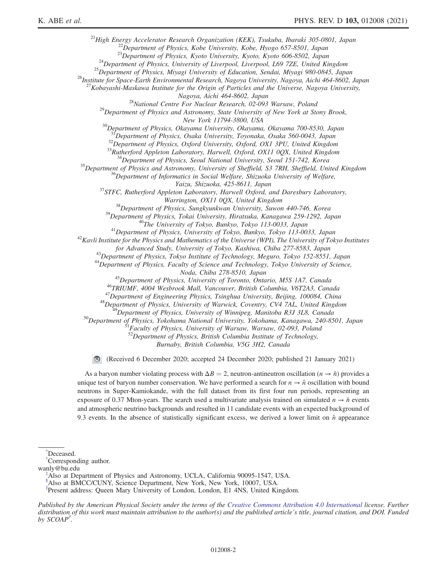<sup>21</sup>High Energy Accelerator Research Organization (KEK), Tsukuba, Ibaraki 305-0801, Japan<br><sup>22</sup>Department of Physics, Kobe University, Kobe, Hyogo 657-8501, Japan<br><sup>23</sup>Department of Physics, Kyoto University, Kyoto, Kyoto 6

<sup>27</sup>Kobayashi-Maskawa Institute for the Origin of Particles and the Universe, Nagoya University,

Nagoya, Aichi 464-8602, Japan<br><sup>28</sup>National Centre For Nuclear Research, 02-093 Warsaw, Poland<br><sup>29</sup>Department of Physics and Astronomy, State University of New York at Stony Brook,<br>New York 11794-3800, USA

<sup>30</sup>Department of Physics, Okayama University, Okayama, Okayama 700-8530, Japan

<sup>31</sup>Department of Physics, Osaka University, Toyonaka, Osaka 560-0043, Japan<br><sup>32</sup>Department of Physics, Oxford University, Oxford, OX1 3PU, United Kingdom<br><sup>33</sup>Rutherford Appleton Laboratory, Harwell, Oxford, OX11 0QX, Uni

Yaizu, Shizuoka, 425-8611, Japan<br><sup>37</sup>STFC, Rutherford Appleton Laboratory, Harwell Oxford, and Daresbury Laboratory,

Warrington, OX11 0QX, United Kingdom<br><sup>38</sup>Department of Physics, Sungkyunkwan University, Suwon 440-746, Korea<br><sup>39</sup>Department of Physics, Tokai University, Hiratsuka, Kanagawa 259-1292, Japan<br><sup>40</sup>The University of Tokyo, Bu

for Advanced Study, University of Tokyo, Kashiwa, Chiba 277-8583, Japan<br><sup>43</sup>Department of Physics, Tokyo Institute of Technology, Meguro, Tokyo 152-8551, Japan<br><sup>44</sup>Department of Physics, Faculty of Science and Technology,

Moda, Chiba 278-8510, Japan<br>
<sup>45</sup>Department of Physics, University of Toronto, Ontario, M5S 1A7, Canada<br>
<sup>46</sup>TRIUMF, 4004 Wesbrook Mall, Vancouver, British Columbia, V6T2A3, Canada<br>
<sup>47</sup>Department of Engineering Physics, T

 $52$ Department of Physics, British Columbia Institute of Technology,

Burnaby, British Columbia, V5G 3H2, Canada

(Received 6 December 2020; accepted 24 December 2020; published 21 January 2021)  $\bigcirc$ 

As a baryon number violating process with  $\Delta B = 2$ , neutron-antineutron oscillation  $(n \to \bar{n})$  provides a unique test of baryon number conservation. We have performed a search for  $n \to \bar{n}$  oscillation with bound neutrons in Super-Kamiokande, with the full dataset from its first four run periods, representing an exposure of 0.37 Mton-years. The search used a multivariate analysis trained on simulated  $n \rightarrow \bar{n}$  events and atmospheric neutrino backgrounds and resulted in 11 candidate events with an expected background of 9.3 events. In the absence of statistically significant excess, we derived a lower limit on  $\bar{n}$  appearance

<span id="page-1-4"></span>[\\*](#page-0-0) Deceased.

<span id="page-1-0"></span>[†](#page-0-1) Corresponding author.

<span id="page-1-1"></span>wanly@bu.edu

Also at Department of Physics and Astronomy, UCLA, California 90095-1547, USA.

<span id="page-1-2"></span>[§](#page-0-3) Also at BMCC/CUNY, Science Department, New York, New York, 10007, USA.

<span id="page-1-3"></span>[∥](#page-0-4) Present address: Queen Mary University of London, London, E1 4NS, United Kingdom.

Published by the American Physical Society under the terms of the [Creative Commons Attribution 4.0 International](https://creativecommons.org/licenses/by/4.0/) license. Further distribution of this work must maintain attribution to the author(s) and the published article's title, journal citation, and DOI. Funded by  $SCOAP<sup>3</sup>$ .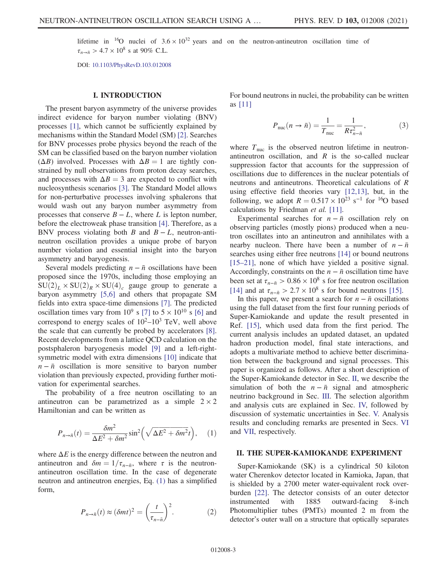lifetime in <sup>16</sup>O nuclei of  $3.6 \times 10^{32}$  years and on the neutron-antineutron oscillation time of  $\tau_{n\to \bar{n}} > 4.7 \times 10^8$  s at 90% C.L.

DOI: [10.1103/PhysRevD.103.012008](https://doi.org/10.1103/PhysRevD.103.012008)

### I. INTRODUCTION

The present baryon asymmetry of the universe provides indirect evidence for baryon number violating (BNV) processes [\[1\]](#page-10-0), which cannot be sufficiently explained by mechanisms within the Standard Model (SM) [\[2\]](#page-10-1). Searches for BNV processes probe physics beyond the reach of the SM can be classified based on the baryon number violation  $(\Delta B)$  involved. Processes with  $\Delta B = 1$  are tightly constrained by null observations from proton decay searches, and processes with  $\Delta B = 3$  are expected to conflict with nucleosynthesis scenarios [\[3\].](#page-10-2) The Standard Model allows for non-perturbative processes involving sphalerons that would wash out any baryon number asymmetry from processes that conserve  $B - L$ , where L is lepton number, before the electroweak phase transition [\[4\].](#page-10-3) Therefore, as a BNV process violating both B and  $B - L$ , neutron-antineutron oscillation provides a unique probe of baryon number violation and essential insight into the baryon asymmetry and baryogenesis.

Several models predicting  $n - \bar{n}$  oscillations have been proposed since the 1970s, including those employing an  $SU(2)_L \times SU(2)_R \times SU(4)_c$  gauge group to generate a baryon asymmetry [\[5,6\]](#page-10-4) and others that propagate SM fields into extra space-time dimensions [\[7\].](#page-10-5) The predicted oscillation times vary from  $10^9$  s [\[7\]](#page-10-5) to  $5 \times 10^{10}$  s [\[6\]](#page-10-6) and correspond to energy scales of  $10^2-10^3$  TeV, well above the scale that can currently be probed by accelerators [\[8\]](#page-10-7). Recent developments from a lattice QCD calculation on the postsphaleron baryogenesis model [\[9\]](#page-10-8) and a left-rightsymmetric model with extra dimensions [\[10\]](#page-10-9) indicate that  $n - \bar{n}$  oscillation is more sensitive to baryon number violation than previously expected, providing further motivation for experimental searches.

<span id="page-2-0"></span>The probability of a free neutron oscillating to an antineutron can be parametrized as a simple  $2 \times 2$ Hamiltonian and can be written as

$$
P_{n \to \bar{n}}(t) = \frac{\delta m^2}{\Delta E^2 + \delta m^2} \sin^2 \left( \sqrt{\Delta E^2 + \delta m^2} t \right), \quad (1)
$$

where  $\Delta E$  is the energy difference between the neutron and antineutron and  $\delta m = 1/\tau_{n-\bar{n}}$ , where  $\tau$  is the neutronantineutron oscillation time. In the case of degenerate neutron and antineutron energies, Eq. [\(1\)](#page-2-0) has a simplified form,

$$
P_{n \to \bar{n}}(t) \approx (\delta m t)^2 = \left(\frac{t}{\tau_{n-\bar{n}}}\right)^2.
$$
 (2)

<span id="page-2-2"></span>For bound neutrons in nuclei, the probability can be written as [\[11\]](#page-10-10)

$$
P_{\text{nuc}}(n \to \bar{n}) = \frac{1}{T_{\text{nuc}}} = \frac{1}{R\tau_{n-\bar{n}}^2},
$$
 (3)

where  $T_{\text{nuc}}$  is the observed neutron lifetime in neutronantineutron oscillation, and  $R$  is the so-called nuclear suppression factor that accounts for the suppression of oscillations due to differences in the nuclear potentials of neutrons and antineutrons. Theoretical calculations of R using effective field theories vary [\[12,13\],](#page-10-11) but, in the following, we adopt  $R = 0.517 \times 10^{23}$  s<sup>-1</sup> for <sup>16</sup>O based calculations by Friedman et al. [\[11\]](#page-10-10).

Experimental searches for  $n - \bar{n}$  oscillation rely on observing particles (mostly pions) produced when a neutron oscillates into an antineutron and annihilates with a nearby nucleon. There have been a number of  $n - \bar{n}$ searches using either free neutrons [\[14\]](#page-10-12) or bound neutrons [\[15](#page-10-13)–21], none of which have yielded a positive signal. Accordingly, constraints on the  $n - \bar{n}$  oscillation time have been set at  $\tau_{n-\bar{n}} > 0.86 \times 10^8$  s for free neutron oscillation [\[14\]](#page-10-12) and at  $\tau_{n-\bar{n}} > 2.7 \times 10^8$  s for bound neutrons [\[15\]](#page-10-13).

In this paper, we present a search for  $n - \bar{n}$  oscillations using the full dataset from the first four running periods of Super-Kamiokande and update the result presented in Ref. [\[15\],](#page-10-13) which used data from the first period. The current analysis includes an updated dataset, an updated hadron production model, final state interactions, and adopts a multivariate method to achieve better discrimination between the background and signal processes. This paper is organized as follows. After a short description of the Super-Kamiokande detector in Sec. [II](#page-2-1), we describe the simulation of both the  $n - \bar{n}$  signal and atmospheric neutrino background in Sec. [III.](#page-3-0) The selection algorithm and analysis cuts are explained in Sec. [IV,](#page-4-0) followed by discussion of systematic uncertainties in Sec. [V.](#page-7-0) Analysis results and concluding remarks are presented in Secs. [VI](#page-8-0) and [VII](#page-10-14), respectively.

#### <span id="page-2-1"></span>II. THE SUPER-KAMIOKANDE EXPERIMENT

Super-Kamiokande (SK) is a cylindrical 50 kiloton water Cherenkov detector located in Kamioka, Japan, that is shielded by a 2700 meter water-equivalent rock overburden [\[22\]](#page-10-15). The detector consists of an outer detector instrumented with 1885 outward-facing 8-inch Photomultiplier tubes (PMTs) mounted 2 m from the detector's outer wall on a structure that optically separates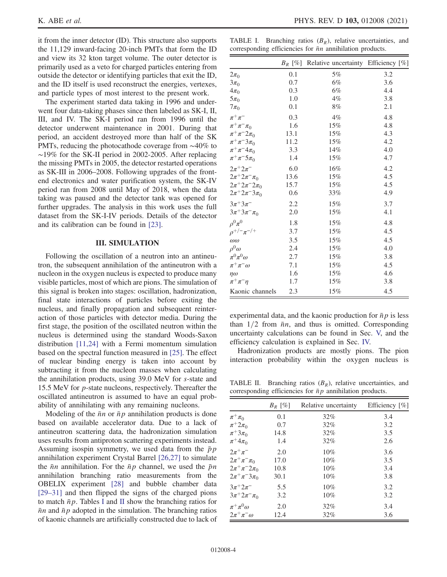it from the inner detector (ID). This structure also supports the 11,129 inward-facing 20-inch PMTs that form the ID and view its 32 kton target volume. The outer detector is primarily used as a veto for charged particles entering from outside the detector or identifying particles that exit the ID, and the ID itself is used reconstruct the energies, vertexes, and particle types of most interest to the present work.

The experiment started data taking in 1996 and underwent four data-taking phases since then labeled as SK-I, II, III, and IV. The SK-I period ran from 1996 until the detector underwent maintenance in 2001. During that period, an accident destroyed more than half of the SK PMTs, reducing the photocathode coverage from ∼40% to ∼19% for the SK-II period in 2002-2005. After replacing the missing PMTs in 2005, the detector restarted operations as SK-III in 2006–2008. Following upgrades of the frontend electronics and water purification system, the SK-IV period ran from 2008 until May of 2018, when the data taking was paused and the detector tank was opened for further upgrades. The analysis in this work uses the full dataset from the SK-I-IV periods. Details of the detector and its calibration can be found in [\[23\].](#page-10-16)

#### III. SIMULATION

<span id="page-3-0"></span>Following the oscillation of a neutron into an antineutron, the subsequent annihilation of the antineutron with a nucleon in the oxygen nucleus is expected to produce many visible particles, most of which are pions. The simulation of this signal is broken into stages: oscillation, hadronization, final state interactions of particles before exiting the nucleus, and finally propagation and subsequent reinteraction of those particles with detector media. During the first stage, the position of the oscillated neutron within the nucleus is determined using the standard Woods-Saxon distribution [\[11,24\]](#page-10-10) with a Fermi momentum simulation based on the spectral function measured in [\[25\].](#page-10-17) The effect of nuclear binding energy is taken into account by subtracting it from the nucleon masses when calculating the annihilation products, using 39.0 MeV for s-state and 15.5 MeV for p-state nucleons, respectively. Thereafter the oscillated antineutron is assumed to have an equal probability of annihilating with any remaining nucleons.

Modeling of the  $\bar{n}n$  or  $\bar{n}p$  annihilation products is done based on available accelerator data. Due to a lack of antineutron scattering data, the hadronization simulation uses results from antiproton scattering experiments instead. Assuming isospin symmetry, we used data from the  $\bar{p}p$ annihilation experiment Crystal Barrel [\[26,27\]](#page-10-18) to simulate the  $\bar{n}n$  annihilation. For the  $\bar{n}p$  channel, we used the  $\bar{p}n$ annihilation branching ratio measurements from the OBELIX experiment [\[28\]](#page-10-19) and bubble chamber data [\[29](#page-11-0)–31] and then flipped the signs of the charged pions to match  $\bar{n}p$ . Tables [I](#page-3-1) and [II](#page-3-2) show the branching ratios for  $\bar{n}n$  and  $\bar{n}p$  adopted in the simulation. The branching ratios of kaonic channels are artificially constructed due to lack of

<span id="page-3-1"></span>TABLE I. Branching ratios  $(B_R)$ , relative uncertainties, and corresponding efficiencies for  $\bar{n}n$  annihilation products.

|                           | $B_R$ [%] | Relative uncertainty Efficiency [%] |     |
|---------------------------|-----------|-------------------------------------|-----|
| $2\pi_0$                  | 0.1       | 5%                                  | 3.2 |
| $3\pi_0$                  | 0.7       | 6%                                  | 3.6 |
| $4\pi_0$                  | 0.3       | 6%                                  | 4.4 |
| $5\pi_0$                  | 1.0       | $4\%$                               | 3.8 |
| $7\pi_0$                  | 0.1       | 8%                                  | 2.1 |
| $\pi^+\pi^-$              | 0.3       | 4%                                  | 4.8 |
| $\pi^{+}\pi^{-}\pi_{0}$   | 1.6       | 15%                                 | 4.8 |
| $\pi^{+}\pi^{-}2\pi_{0}$  | 13.1      | 15%                                 | 4.3 |
| $\pi^{+}\pi^{-}3\pi_{0}$  | 11.2      | 15%                                 | 4.2 |
| $\pi^+\pi^-4\pi_0$        | 3.3       | 14%                                 | 4.0 |
| $\pi^+\pi^-5\pi_0$        | 1.4       | 15%                                 | 4.7 |
| $2\pi^{+}2\pi^{-}$        | 6.0       | 16%                                 | 4.2 |
| $2\pi^+ 2\pi^- \pi_0$     | 13.6      | 15%                                 | 4.5 |
| $2\pi^+ 2\pi^- 2\pi_0$    | 15.7      | 15%                                 | 4.5 |
| $2\pi^+ 2\pi^- 3\pi_0$    | 0.6       | 33%                                 | 4.9 |
| $3\pi + 3\pi$             | 2.2       | 15%                                 | 3.7 |
| $3\pi^{+}3\pi^{-}\pi_{0}$ | 2.0       | 15%                                 | 4.1 |
| $\rho^0 \pi^0$            | 1.8       | 15%                                 | 4.8 |
| $\rho^{+/-} \pi^{-/+}$    | 3.7       | 15%                                 | 4.5 |
| $\omega\omega$            | 3.5       | 15%                                 | 4.5 |
| $\rho^0\omega$            | 2.4       | 15%                                 | 4.0 |
| $\pi^0\pi^0\omega$        | 2.7       | 15%                                 | 3.8 |
| $\pi^+\pi^-\omega$        | 7.1       | 15%                                 | 4.5 |
| $n\omega$                 | 1.6       | 15%                                 | 4.6 |
| $\pi^+\pi^-\eta$          | 1.7       | 15%                                 | 3.8 |
| Kaonic channels           | 2.3       | 15%                                 | 4.5 |

experimental data, and the kaonic production for  $\bar{n}p$  is less than  $1/2$  from  $\bar{n}n$ , and thus is omitted. Corresponding uncertainty calculations can be found in Sec. [V,](#page-7-0) and the efficiency calculation is explained in Sec. [IV.](#page-4-0)

Hadronization products are mostly pions. The pion interaction probability within the oxygen nucleus is

<span id="page-3-2"></span>TABLE II. Branching ratios  $(B_R)$ , relative uncertainties, and corresponding efficiencies for  $\bar{p}p$  annihilation products.

|                           | $B_R$ [%] | Relative uncertainty | Efficiency $[\%]$ |
|---------------------------|-----------|----------------------|-------------------|
| $\pi^+\pi_0$              | 0.1       | 32%                  | 3.4               |
| $\pi^+ 2\pi_0$            | 0.7       | 32%                  | 3.2               |
| $\pi^+3\pi_0$             | 14.8      | 32%                  | 3.5               |
| $\pi^+ 4\pi_0$            | 1.4       | 32%                  | 2.6               |
| $2\pi^{+}\pi^{-}$         | 2.0       | 10%                  | 3.6               |
| $2\pi^{+}\pi^{-}\pi_{0}$  | 17.0      | 10%                  | 3.5               |
| $2\pi^{+}\pi^{-}2\pi_{0}$ | 10.8      | 10%                  | 3.4               |
| $2\pi^{+}\pi^{-}3\pi_{0}$ | 30.1      | 10%                  | 3.8               |
| $3\pi + 2\pi^-$           | 5.5       | 10%                  | 3.2               |
| $3\pi^+ 2\pi^- \pi_0$     | 3.2       | 10%                  | 3.2               |
| $\pi^+\pi^0\omega$        | 2.0       | 32%                  | 3.4               |
| $2\pi^+\pi^-\omega$       | 12.4      | 32%                  | 3.6               |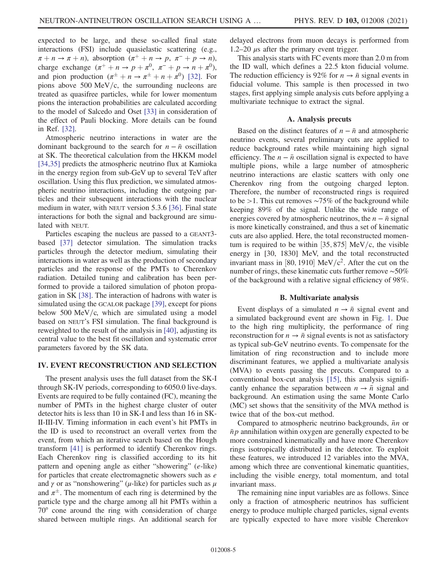expected to be large, and these so-called final state interactions (FSI) include quasielastic scattering (e.g.,  $\pi + n \to \pi + n$ , absorption  $(\pi^+ + n \to p, \pi^- + p \to n)$ , charge exchange  $(\pi^+ + n \rightarrow p + \pi^0, \pi^- + p \rightarrow n + \pi^0)$ , and pion production  $(\pi^{\pm} + n \rightarrow \pi^{\pm} + n + \pi^0)$  [\[32\].](#page-11-1) For pions above 500 MeV/c, the surrounding nucleons are treated as quasifree particles, while for lower momentum pions the interaction probabilities are calculated according to the model of Salcedo and Oset [\[33\]](#page-11-2) in consideration of the effect of Pauli blocking. More details can be found in Ref. [\[32\]](#page-11-1).

Atmospheric neutrino interactions in water are the dominant background to the search for  $n - \bar{n}$  oscillation at SK. The theoretical calculation from the HKKM model [\[34,35\]](#page-11-3) predicts the atmospheric neutrino flux at Kamioka in the energy region from sub-GeV up to several TeV after oscillation. Using this flux prediction, we simulated atmospheric neutrino interactions, including the outgoing particles and their subsequent interactions with the nuclear medium in water, with NEUT version 5.3.6 [\[36\].](#page-11-4) Final state interactions for both the signal and background are simulated with NEUT.

Particles escaping the nucleus are passed to a GEANT3 based [\[37\]](#page-11-5) detector simulation. The simulation tracks particles through the detector medium, simulating their interactions in water as well as the production of secondary particles and the response of the PMTs to Cherenkov radiation. Detailed tuning and calibration has been performed to provide a tailored simulation of photon propagation in SK [\[38\].](#page-11-6) The interaction of hadrons with water is simulated using the GCALOR package [\[39\]](#page-11-7), except for pions below 500 MeV/c, which are simulated using a model based on NEUT's FSI simulation. The final background is reweighted to the result of the analysis in [\[40\],](#page-11-8) adjusting its central value to the best fit oscillation and systematic error parameters favored by the SK data.

## <span id="page-4-0"></span>IV. EVENT RECONSTRUCTION AND SELECTION

The present analysis uses the full dataset from the SK-I through SK-IV periods, corresponding to 6050.0 live-days. Events are required to be fully contained (FC), meaning the number of PMTs in the highest charge cluster of outer detector hits is less than 10 in SK-I and less than 16 in SK-II-III-IV. Timing information in each event's hit PMTs in the ID is used to reconstruct an overall vertex from the event, from which an iterative search based on the Hough transform [\[41\]](#page-11-9) is performed to identify Cherenkov rings. Each Cherenkov ring is classified according to its hit pattern and opening angle as either "showering" (e-like) for particles that create electromagnetic showers such as  $e$ and  $\gamma$  or as "nonshowering" ( $\mu$ -like) for particles such as  $\mu$ and  $\pi^{\pm}$ . The momentum of each ring is determined by the particle type and the charge among all hit PMTs within a 70° cone around the ring with consideration of charge shared between multiple rings. An additional search for delayed electrons from muon decays is performed from 1.2–20  $\mu$ s after the primary event trigger.

This analysis starts with FC events more than 2.0 m from the ID wall, which defines a 22.5 kton fiducial volume. The reduction efficiency is 92% for  $n \to \bar{n}$  signal events in fiducial volume. This sample is then processed in two stages, first applying simple analysis cuts before applying a multivariate technique to extract the signal.

## A. Analysis precuts

Based on the distinct features of  $n - \bar{n}$  and atmospheric neutrino events, several preliminary cuts are applied to reduce background rates while maintaining high signal efficiency. The  $n - \bar{n}$  oscillation signal is expected to have multiple pions, while a large number of atmospheric neutrino interactions are elastic scatters with only one Cherenkov ring from the outgoing charged lepton. Therefore, the number of reconstructed rings is required to be >1. This cut removes ∼75% of the background while keeping 89% of the signal. Unlike the wide range of energies covered by atmospheric neutrinos, the  $n - \bar{n}$  signal is more kinetically constrained, and thus a set of kinematic cuts are also applied. Here, the total reconstructed momentum is required to be within  $[35, 875]$  MeV/c, the visible energy in [30, 1830] MeV, and the total reconstructed invariant mass in [80, 1910] MeV/ $c^2$ . After the cut on the number of rings, these kinematic cuts further remove ∼50% of the background with a relative signal efficiency of 98%.

#### B. Multivariate analysis

Event displays of a simulated  $n \rightarrow \bar{n}$  signal event and a simulated background event are shown in Fig. [1.](#page-5-0) Due to the high ring multiplicity, the performance of ring reconstruction for  $n \to \bar{n}$  signal events is not as satisfactory as typical sub-GeV neutrino events. To compensate for the limitation of ring reconstruction and to include more discriminant features, we applied a multivariate analysis (MVA) to events passing the precuts. Compared to a conventional box-cut analysis [\[15\]](#page-10-13), this analysis significantly enhance the separation between  $n \rightarrow \bar{n}$  signal and background. An estimation using the same Monte Carlo (MC) set shows that the sensitivity of the MVA method is twice that of the box-cut method.

Compared to atmospheric neutrino backgrounds,  $\bar{n}n$  or  $\bar{p}p$  annihilation within oxygen are generally expected to be more constrained kinematically and have more Cherenkov rings isotropically distributed in the detector. To exploit these features, we introduced 12 variables into the MVA, among which three are conventional kinematic quantities, including the visible energy, total momentum, and total invariant mass.

The remaining nine input variables are as follows. Since only a fraction of atmospheric neutrinos has sufficient energy to produce multiple charged particles, signal events are typically expected to have more visible Cherenkov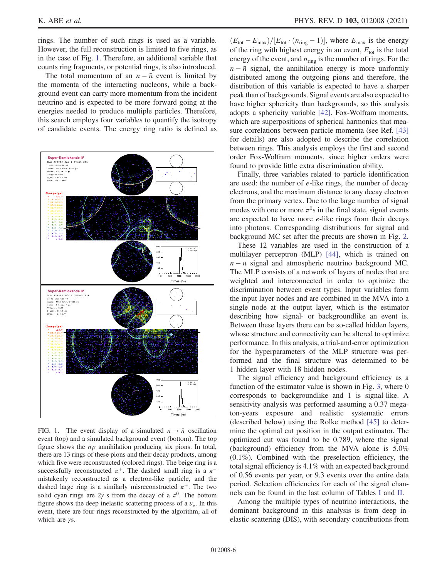rings. The number of such rings is used as a variable. However, the full reconstruction is limited to five rings, as in the case of Fig. [1](#page-5-0). Therefore, an additional variable that counts ring fragments, or potential rings, is also introduced.

The total momentum of an  $n - \bar{n}$  event is limited by the momenta of the interacting nucleons, while a background event can carry more momentum from the incident neutrino and is expected to be more forward going at the energies needed to produce multiple particles. Therefore, this search employs four variables to quantify the isotropy of candidate events. The energy ring ratio is defined as

<span id="page-5-0"></span>

FIG. 1. The event display of a simulated  $n \to \bar{n}$  oscillation event (top) and a simulated background event (bottom). The top figure shows the  $\bar{p}p$  annihilation producing six pions. In total, there are 13 rings of these pions and their decay products, among which five were reconstructed (colored rings). The beige ring is a successfully reconstructed  $\pi^+$ . The dashed small ring is a  $\pi^$ mistakenly reconstructed as a electron-like particle, and the dashed large ring is a similarly misreconstructed  $\pi^{+}$ . The two solid cyan rings are  $2\gamma$  s from the decay of a  $\pi^0$ . The bottom figure shows the deep inelastic scattering process of a  $\nu_e$ . In this event, there are four rings reconstructed by the algorithm, all of which are  $\gamma s$ .

 $(E_{\text{tot}}-E_{\text{max}})/[E_{\text{tot}}\cdot(n_{\text{ring}}-1)]$ , where  $E_{\text{max}}$  is the energy of the ring with highest energy in an event,  $E_{\text{tot}}$  is the total energy of the event, and  $n_{\text{ring}}$  is the number of rings. For the  $n - \bar{n}$  signal, the annihilation energy is more uniformly distributed among the outgoing pions and therefore, the distribution of this variable is expected to have a sharper peak than of backgrounds. Signal events are also expected to have higher sphericity than backgrounds, so this analysis adopts a sphericity variable [\[42\]](#page-11-10). Fox-Wolfram moments, which are superpositions of spherical harmonics that measure correlations between particle momenta (see Ref. [\[43\]](#page-11-11) for details) are also adopted to describe the correlation between rings. This analysis employs the first and second order Fox-Wolfram moments, since higher orders were found to provide little extra discrimination ability.

Finally, three variables related to particle identification are used: the number of  $e$ -like rings, the number of decay electrons, and the maximum distance to any decay electron from the primary vertex. Due to the large number of signal modes with one or more  $\pi^0$ s in the final state, signal events are expected to have more e-like rings from their decays into photons. Corresponding distributions for signal and background MC set after the precuts are shown in Fig. [2](#page-6-0).

These 12 variables are used in the construction of a multilayer perceptron (MLP) [\[44\],](#page-11-12) which is trained on  $n - \bar{n}$  signal and atmospheric neutrino background MC. The MLP consists of a network of layers of nodes that are weighted and interconnected in order to optimize the discrimination between event types. Input variables form the input layer nodes and are combined in the MVA into a single node at the output layer, which is the estimator describing how signal- or backgroundlike an event is. Between these layers there can be so-called hidden layers, whose structure and connectivity can be altered to optimize performance. In this analysis, a trial-and-error optimization for the hyperparameters of the MLP structure was performed and the final structure was determined to be 1 hidden layer with 18 hidden nodes.

The signal efficiency and background efficiency as a function of the estimator value is shown in Fig. [3](#page-6-1), where 0 corresponds to backgroundlike and 1 is signal-like. A sensitivity analysis was performed assuming a 0.37 megaton-years exposure and realistic systematic errors (described below) using the Rolke method [\[45\]](#page-11-13) to determine the optimal cut position in the output estimator. The optimized cut was found to be 0.789, where the signal (background) efficiency from the MVA alone is 5.0% (0.1%). Combined with the preselection efficiency, the total signal efficiency is 4.1% with an expected background of 0.56 events per year, or 9.3 events over the entire data period. Selection efficiencies for each of the signal channels can be found in the last column of Tables [I](#page-3-1) and [II](#page-3-2).

Among the multiple types of neutrino interactions, the dominant background in this analysis is from deep inelastic scattering (DIS), with secondary contributions from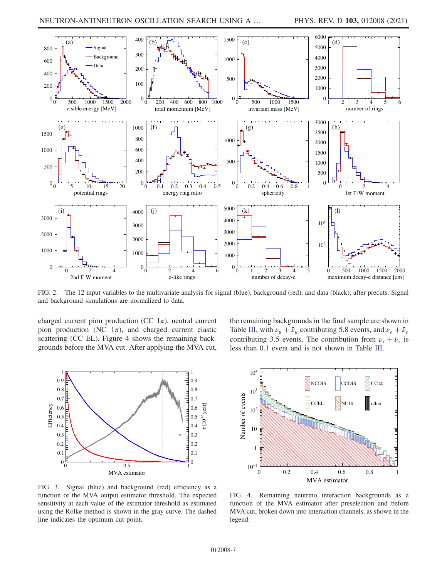<span id="page-6-0"></span>

FIG. 2. The 12 input variables to the multivariate analysis for signal (blue), background (red), and data (black), after precuts. Signal and background simulations are normalized to data.

charged current pion production (CC  $1\pi$ ), neutral current pion production (NC  $1\pi$ ), and charged current elastic scattering (CC EL). Figure [4](#page-6-2) shows the remaining backgrounds before the MVA cut. After applying the MVA cut,

<span id="page-6-1"></span>

FIG. 3. Signal (blue) and background (red) efficiency as a function of the MVA output estimator threshold. The expected sensitivity at each value of the estimator threshold as estimated using the Rolke method is shown in the gray curve. The dashed line indicates the optimum cut point.

the remaining backgrounds in the final sample are shown in Table [III,](#page-7-1) with  $\nu_{\mu} + \bar{\nu}_{\mu}$  contributing 5.8 events, and  $\nu_e + \bar{\nu}_e$ contributing 3.5 events. The contribution from  $\nu_{\tau} + \bar{\nu}_{\tau}$  is less than 0.1 event and is not shown in Table [III.](#page-7-1)

<span id="page-6-2"></span>

FIG. 4. Remaining neutrino interaction backgrounds as a function of the MVA estimator after preselection and before MVA cut, broken down into interaction channels, as shown in the legend.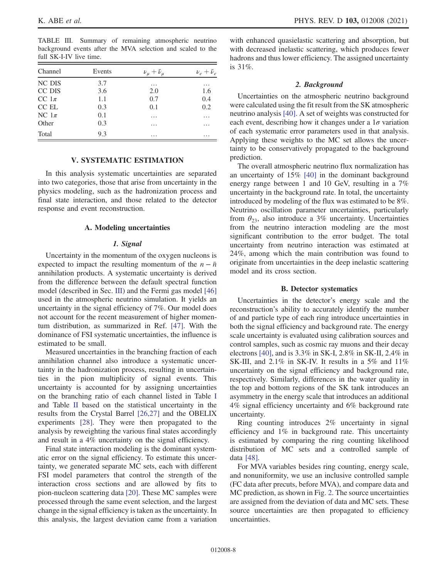<span id="page-7-1"></span>TABLE III. Summary of remaining atmospheric neutrino background events after the MVA selection and scaled to the full SK-I-IV live time.

| Channel   | Events | $\nu_\mu + \bar{\nu}_\mu$ | $\nu_e + \bar{\nu}_e$ |
|-----------|--------|---------------------------|-----------------------|
| NC DIS    | 3.7    | $\cdots$                  | $\cdots$              |
| CC DIS    | 3.6    | 2.0                       | 1.6                   |
| CC $1\pi$ | 1.1    | 0.7                       | 0.4                   |
| CC EL     | 0.3    | 0.1                       | 0.2                   |
| NC $1\pi$ | 0.1    | $\cdots$                  | $\cdots$              |
| Other     | 0.3    | $\cdots$                  | $\cdots$              |
| Total     | 9.3    | $\cdots$                  | $\cdots$              |

## V. SYSTEMATIC ESTIMATION

<span id="page-7-0"></span>In this analysis systematic uncertainties are separated into two categories, those that arise from uncertainty in the physics modeling, such as the hadronization process and final state interaction, and those related to the detector response and event reconstruction.

#### A. Modeling uncertainties

#### 1. Signal

Uncertainty in the momentum of the oxygen nucleons is expected to impact the resulting momentum of the  $n - \bar{n}$ annihilation products. A systematic uncertainty is derived from the difference between the default spectral function model (described in Sec. [III\)](#page-3-0) and the Fermi gas model [\[46\]](#page-11-14) used in the atmospheric neutrino simulation. It yields an uncertainty in the signal efficiency of 7%. Our model does not account for the recent measurement of higher momentum distribution, as summarized in Ref. [\[47\]](#page-11-15). With the dominance of FSI systematic uncertainties, the influence is estimated to be small.

Measured uncertainties in the branching fraction of each annihilation channel also introduce a systematic uncertainty in the hadronization process, resulting in uncertainties in the pion multiplicity of signal events. This uncertainty is accounted for by assigning uncertainties on the branching ratio of each channel listed in Table [I](#page-3-1) and Table [II](#page-3-2) based on the statistical uncertainty in the results from the Crystal Barrel [\[26,27\]](#page-10-18) and the OBELIX experiments [\[28\].](#page-10-19) They were then propagated to the analysis by reweighting the various final states accordingly and result in a 4% uncertainty on the signal efficiency.

Final state interaction modeling is the dominant systematic error on the signal efficiency. To estimate this uncertainty, we generated separate MC sets, each with different FSI model parameters that control the strength of the interaction cross sections and are allowed by fits to pion-nucleon scattering data [\[20\]](#page-10-20). These MC samples were processed through the same event selection, and the largest change in the signal efficiency is taken as the uncertainty. In this analysis, the largest deviation came from a variation with enhanced quasielastic scattering and absorption, but with decreased inelastic scattering, which produces fewer hadrons and thus lower efficiency. The assigned uncertainty is 31%.

## 2. Background

Uncertainties on the atmospheric neutrino background were calculated using the fit result from the SK atmospheric neutrino analysis [\[40\]](#page-11-8). A set of weights was constructed for each event, describing how it changes under a  $1\sigma$  variation of each systematic error parameters used in that analysis. Applying these weights to the MC set allows the uncertainty to be conservatively propagated to the background prediction.

The overall atmospheric neutrino flux normalization has an uncertainty of 15% [\[40\]](#page-11-8) in the dominant background energy range between 1 and 10 GeV, resulting in a 7% uncertainty in the background rate. In total, the uncertainty introduced by modeling of the flux was estimated to be 8%. Neutrino oscillation parameter uncertainties, particularly from  $\theta_{23}$ , also introduce a 3% uncertainty. Uncertainties from the neutrino interaction modeling are the most significant contribution to the error budget. The total uncertainty from neutrino interaction was estimated at 24%, among which the main contribution was found to originate from uncertainties in the deep inelastic scattering model and its cross section.

#### B. Detector systematics

Uncertainties in the detector's energy scale and the reconstruction's ability to accurately identify the number of and particle type of each ring introduce uncertainties in both the signal efficiency and background rate. The energy scale uncertainty is evaluated using calibration sources and control samples, such as cosmic ray muons and their decay electrons [\[40\]](#page-11-8), and is 3.3% in SK-I, 2.8% in SK-II, 2.4% in SK-III, and 2.1% in SK-IV. It results in a 5% and 11% uncertainty on the signal efficiency and background rate, respectively. Similarly, differences in the water quality in the top and bottom regions of the SK tank introduces an asymmetry in the energy scale that introduces an additional 4% signal efficiency uncertainty and 6% background rate uncertainty.

Ring counting introduces 2% uncertainty in signal efficiency and 1% in background rate. This uncertainty is estimated by comparing the ring counting likelihood distribution of MC sets and a controlled sample of data [\[48\]](#page-11-16).

For MVA variables besides ring counting, energy scale, and nonuniformity, we use an inclusive controlled sample (FC data after precuts, before MVA), and compare data and MC prediction, as shown in Fig. [2.](#page-6-0) The source uncertainties are assigned from the deviation of data and MC sets. These source uncertainties are then propagated to efficiency uncertainties.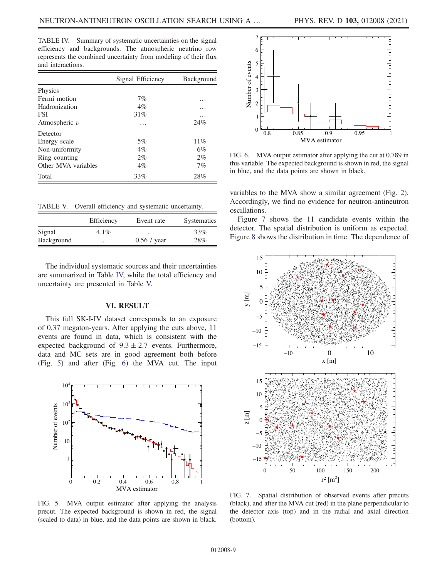<span id="page-8-1"></span>TABLE IV. Summary of systematic uncertainties on the signal efficiency and backgrounds. The atmospheric neutrino row represents the combined uncertainty from modeling of their flux and interactions.

|                     | Signal Efficiency | Background |
|---------------------|-------------------|------------|
| Physics             |                   |            |
| Fermi motion        | 7%                | .          |
| Hadronization       | $4\%$             |            |
| <b>FSI</b>          | 31%               | .          |
| Atmospheric $\nu$   | .                 | 24%        |
| Detector            |                   |            |
| Energy scale        | $5\%$             | 11%        |
| Non-uniformity      | $4\%$             | 6%         |
| Ring counting       | $2\%$             | $2\%$      |
| Other MVA variables | $4\%$             | 7%         |
| Total               | 33%               | 28%        |

<span id="page-8-2"></span>TABLE V. Overall efficiency and systematic uncertainty.

|            | Efficiency | Event rate    | <b>Systematics</b> |
|------------|------------|---------------|--------------------|
| Signal     | $4.1\%$    | $\cdots$      | 33%                |
| Background | $\cdots$   | $0.56 /$ year | 28%                |

The individual systematic sources and their uncertainties are summarized in Table [IV,](#page-8-1) while the total efficiency and uncertainty are presented in Table [V.](#page-8-2)

#### VI. RESULT

<span id="page-8-0"></span>This full SK-I-IV dataset corresponds to an exposure of 0.37 megaton-years. After applying the cuts above, 11 events are found in data, which is consistent with the expected background of  $9.3 \pm 2.7$  events. Furthermore, data and MC sets are in good agreement both before (Fig. [5\)](#page-8-3) and after (Fig. [6](#page-8-4)) the MVA cut. The input

<span id="page-8-3"></span>

FIG. 5. MVA output estimator after applying the analysis precut. The expected background is shown in red, the signal (scaled to data) in blue, and the data points are shown in black.

<span id="page-8-4"></span>

FIG. 6. MVA output estimator after applying the cut at 0.789 in this variable. The expected background is shown in red, the signal in blue, and the data points are shown in black.

variables to the MVA show a similar agreement (Fig. [2](#page-6-0)). Accordingly, we find no evidence for neutron-antineutron oscillations.

Figure [7](#page-8-5) shows the 11 candidate events within the detector. The spatial distribution is uniform as expected. Figure [8](#page-9-0) shows the distribution in time. The dependence of

<span id="page-8-5"></span>

FIG. 7. Spatial distribution of observed events after precuts (black), and after the MVA cut (red) in the plane perpendicular to the detector axis (top) and in the radial and axial direction (bottom).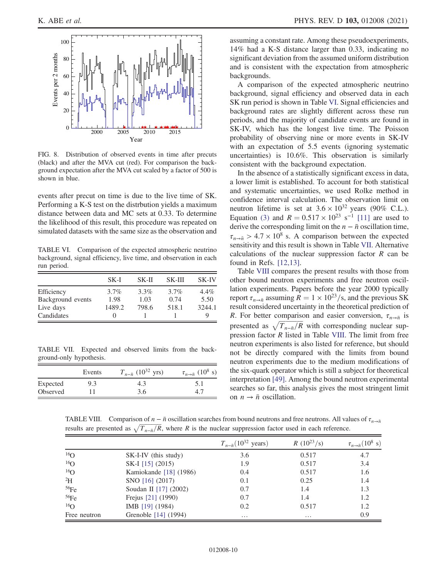<span id="page-9-0"></span>

FIG. 8. Distribution of observed events in time after precuts (black) and after the MVA cut (red). For comparison the background expectation after the MVA cut scaled by a factor of 500 is shown in blue.

events after precut on time is due to the live time of SK. Performing a K-S test on the distrbution yields a maximum distance between data and MC sets at 0.33. To determine the likelihood of this result, this procedure was repeated on simulated datasets with the same size as the observation and

<span id="page-9-1"></span>TABLE VI. Comparison of the expected atmospheric neutrino background, signal efficiency, live time, and observation in each run period.

|                   | SK-I    | SK-II   | SK-III  | <b>SK-IV</b> |
|-------------------|---------|---------|---------|--------------|
| Efficiency        | $3.7\%$ | $3.3\%$ | $3.7\%$ | $4.4\%$      |
| Background events | 1.98    | 1.03    | 0.74    | 5.50         |
| Live days         | 1489.2  | 798.6   | 518.1   | 3244.1       |
| Candidates        | 0       |         |         | Q            |

<span id="page-9-2"></span>TABLE VII. Expected and observed limits from the background-only hypothesis.

|          | Events | $T_{n-\bar{n}}$ (10 <sup>32</sup> yrs) | $\tau_{n \to \bar{n}}$ (10 <sup>8</sup> s) |
|----------|--------|----------------------------------------|--------------------------------------------|
| Expected | 9.3    | 4.3                                    |                                            |
| Observed |        | 3.6                                    |                                            |

assuming a constant rate. Among these pseudoexperiments, 14% had a K-S distance larger than 0.33, indicating no significant deviation from the assumed uniform distribution and is consistent with the expectation from atmospheric backgrounds.

A comparison of the expected atmospheric neutrino background, signal efficiency and observed data in each SK run period is shown in Table [VI](#page-9-1). Signal efficiencies and background rates are slightly different across these run periods, and the majority of candidate events are found in SK-IV, which has the longest live time. The Poisson probability of observing nine or more events in SK-IV with an expectation of 5.5 events (ignoring systematic uncertainties) is 10.6%. This observation is similarly consistent with the background expectation.

In the absence of a statistically significant excess in data, a lower limit is established. To account for both statistical and systematic uncertainties, we used Rolke method in confidence interval calculation. The observation limit on neutron lifetime is set at  $3.6 \times 10^{32}$  years (90% C.L.). Equation [\(3\)](#page-2-2) and  $R = 0.517 \times 10^{23} \text{ s}^{-1}$  [\[11\]](#page-10-10) are used to derive the corresponding limit on the  $n - \bar{n}$  oscillation time,  $\tau_{n\to \bar{n}} > 4.7 \times 10^8$  s. A comparison between the expected sensitivity and this result is shown in Table [VII.](#page-9-2) Alternative calculations of the nuclear suppression factor  $R$  can be found in Refs. [\[12,13\]](#page-10-11).

Table [VIII](#page-9-3) compares the present results with those from other bound neutron experiments and free neutron oscillation experiments. Papers before the year 2000 typically report  $\tau_{n\to \bar{n}}$  assuming  $R = 1 \times 10^{23}$ /s, and the previous SK result considered uncertainty in the theoretical prediction of R. For better comparison and easier conversion,  $\tau_{n\to\bar{n}}$  is presented as  $\sqrt{T_{n-\bar{n}}/R}$  with corresponding nuclear suppression factor  $R$  listed in Table [VIII](#page-9-3). The limit from free neutron experiments is also listed for reference, but should not be directly compared with the limits from bound neutron experiments due to the medium modifications of the six-quark operator which is still a subject for theoretical interpretation [\[49\]](#page-11-17). Among the bound neutron experimental searches so far, this analysis gives the most stringent limit on  $n \to \bar{n}$  oscillation.

<span id="page-9-3"></span>TABLE VIII. Comparison of  $n - \bar{n}$  oscillation searches from bound neutrons and free neutrons. All values of  $\tau_{n\to\bar{n}}$ results are presented as  $\sqrt{T_{n-\bar{n}}/R}$ , where R is the nuclear suppression factor used in each reference.

|                 |                        | $T_{n-\bar{n}}(10^{32} \text{ years})$ | $R(10^{23}/s)$ | $\tau_{n\to \bar{n}}(10^8 \text{ s})$ |
|-----------------|------------------------|----------------------------------------|----------------|---------------------------------------|
| 16 <sub>O</sub> | SK-I-IV (this study)   | 3.6                                    | 0.517          | 4.7                                   |
| 16 <sub>O</sub> | SK-I [15] (2015)       | 1.9                                    | 0.517          | 3.4                                   |
| 16 <sub>O</sub> | Kamiokande [18] (1986) | 0.4                                    | 0.517          | 1.6                                   |
| $^{2}H$         | SNO [16] (2017)        | 0.1                                    | 0.25           | 1.4                                   |
| 56Fe            | Soudan II [17] (2002)  | 0.7                                    | 1.4            | 1.3                                   |
| 56Fe            | Frejus [21] (1990)     | 0.7                                    | 1.4            | 1.2                                   |
| 16 <sub>O</sub> | IMB [19] (1984)        | 0.2                                    | 0.517          | 1.2                                   |
| Free neutron    | Grenoble [14] (1994)   | $\cdots$                               | $\cdots$       | 0.9                                   |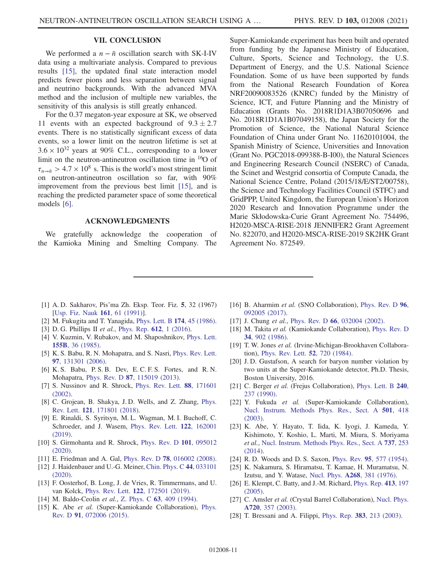## VII. CONCLUSION

<span id="page-10-14"></span>We performed a  $n - \bar{n}$  oscillation search with SK-I-IV data using a multivariate analysis. Compared to previous results [\[15\],](#page-10-13) the updated final state interaction model predicts fewer pions and less separation between signal and neutrino backgrounds. With the advanced MVA method and the inclusion of multiple new variables, the sensitivity of this analysis is still greatly enhanced.

For the 0.37 megaton-year exposure at SK, we observed 11 events with an expected background of  $9.3 \pm 2.7$ events. There is no statistically significant excess of data events, so a lower limit on the neutron lifetime is set at  $3.6 \times 10^{32}$  years at 90% C.L., corresponding to a lower limit on the neutron-antineutron oscillation time in <sup>16</sup>O of  $\tau_{n\to \bar{n}} > 4.7 \times 10^8$  s. This is the world's most stringent limit on neutron-antineutron oscillation so far, with 90% improvement from the previous best limit [\[15\],](#page-10-13) and is reaching the predicted parameter space of some theoretical models [\[6\].](#page-10-6)

#### ACKNOWLEDGMENTS

We gratefully acknowledge the cooperation of the Kamioka Mining and Smelting Company. The Super-Kamiokande experiment has been built and operated from funding by the Japanese Ministry of Education, Culture, Sports, Science and Technology, the U.S. Department of Energy, and the U.S. National Science Foundation. Some of us have been supported by funds from the National Research Foundation of Korea NRF20090083526 (KNRC) funded by the Ministry of Science, ICT, and Future Planning and the Ministry of Education (Grants No. 2018R1D1A3B07050696 and No. 2018R1D1A1B07049158), the Japan Society for the Promotion of Science, the National Natural Science Foundation of China under Grant No. 11620101004, the Spanish Ministry of Science, Universities and Innovation (Grant No. PGC2018-099388-B-I00), the Natural Sciences and Engineering Research Council (NSERC) of Canada, the Scinet and Westgrid consortia of Compute Canada, the National Science Centre, Poland (2015/18/E/ST2/00758), the Science and Technology Facilities Council (STFC) and GridPPP, United Kingdom, the European Union's Horizon 2020 Research and Innovation Programme under the Marie Skłodowska-Curie Grant Agreement No. 754496, H2020-MSCA-RISE-2018 JENNIFER2 Grant Agreement No. 822070, and H2020-MSCA-RISE-2019 SK2HK Grant Agreement No. 872549.

- <span id="page-10-0"></span>[1] A. D. Sakharov, Pis'ma Zh. Eksp. Teor. Fiz. 5, 32 (1967) [[Usp. Fiz. Nauk](https://doi.org/10.3367/UFNr.0161.199105h.0061) 161, 61 (1991)].
- <span id="page-10-1"></span>[2] M. Fukugita and T. Yanagida, [Phys. Lett. B](https://doi.org/10.1016/0370-2693(86)91126-3) 174, 45 (1986).
- <span id="page-10-2"></span>[3] D. G. Phillips II et al., [Phys. Rep.](https://doi.org/10.1016/j.physrep.2015.11.001) 612, 1 (2016).
- <span id="page-10-3"></span>[4] V. Kuzmin, V. Rubakov, and M. Shaposhnikov, [Phys. Lett.](https://doi.org/10.1016/0370-2693(85)91028-7) 155B[, 36 \(1985\)](https://doi.org/10.1016/0370-2693(85)91028-7).
- <span id="page-10-4"></span>[5] K. S. Babu, R. N. Mohapatra, and S. Nasri, [Phys. Rev. Lett.](https://doi.org/10.1103/PhysRevLett.97.131301) 97[, 131301 \(2006\).](https://doi.org/10.1103/PhysRevLett.97.131301)
- <span id="page-10-6"></span>[6] K. S. Babu, P. S. B. Dev, E. C. F. S. Fortes, and R. N. Mohapatra, Phys. Rev. D 87[, 115019 \(2013\).](https://doi.org/10.1103/PhysRevD.87.115019)
- <span id="page-10-5"></span>[7] S. Nussinov and R. Shrock, [Phys. Rev. Lett.](https://doi.org/10.1103/PhysRevLett.88.171601) 88, 171601 [\(2002\).](https://doi.org/10.1103/PhysRevLett.88.171601)
- <span id="page-10-7"></span>[8] C. Grojean, B. Shakya, J.D. Wells, and Z. Zhang, [Phys.](https://doi.org/10.1103/PhysRevLett.121.171801) Rev. Lett. 121[, 171801 \(2018\).](https://doi.org/10.1103/PhysRevLett.121.171801)
- <span id="page-10-8"></span>[9] E. Rinaldi, S. Syritsyn, M. L. Wagman, M. I. Buchoff, C. Schroeder, and J. Wasem, [Phys. Rev. Lett.](https://doi.org/10.1103/PhysRevLett.122.162001) 122, 162001 [\(2019\).](https://doi.org/10.1103/PhysRevLett.122.162001)
- <span id="page-10-9"></span>[10] S. Girmohanta and R. Shrock, [Phys. Rev. D](https://doi.org/10.1103/PhysRevD.101.095012) 101, 095012 [\(2020\).](https://doi.org/10.1103/PhysRevD.101.095012)
- <span id="page-10-11"></span><span id="page-10-10"></span>[11] E. Friedman and A. Gal, Phys. Rev. D **78**[, 016002 \(2008\).](https://doi.org/10.1103/PhysRevD.78.016002)
- [12] J. Haidenbauer and U.-G. Meiner, [Chin. Phys. C](https://doi.org/10.1088/1674-1137/44/3/033101) 44, 033101 [\(2020\).](https://doi.org/10.1088/1674-1137/44/3/033101)
- [13] F. Oosterhof, B. Long, J. de Vries, R. Timmermans, and U. van Kolck, Phys. Rev. Lett. 122[, 172501 \(2019\)](https://doi.org/10.1103/PhysRevLett.122.172501).
- <span id="page-10-13"></span><span id="page-10-12"></span>[14] M. Baldo-Ceolin et al., Z. Phys. C 63[, 409 \(1994\).](https://doi.org/10.1007/BF01580321)
- [15] K. Abe et al. (Super-Kamiokande Collaboration), [Phys.](https://doi.org/10.1103/PhysRevD.91.072006) Rev. D 91[, 072006 \(2015\)](https://doi.org/10.1103/PhysRevD.91.072006).
- <span id="page-10-22"></span>[16] B. Aharmim et al. (SNO Collaboration), [Phys. Rev. D](https://doi.org/10.1103/PhysRevD.96.092005) 96, [092005 \(2017\).](https://doi.org/10.1103/PhysRevD.96.092005)
- <span id="page-10-23"></span>[17] J. Chung et al., Phys. Rev. D 66[, 032004 \(2002\).](https://doi.org/10.1103/PhysRevD.66.032004)
- <span id="page-10-21"></span>[18] M. Takita et al. (Kamiokande Collaboration), [Phys. Rev. D](https://doi.org/10.1103/PhysRevD.34.902) 34[, 902 \(1986\).](https://doi.org/10.1103/PhysRevD.34.902)
- <span id="page-10-25"></span>[19] T. W. Jones et al. (Irvine-Michigan-Brookhaven Collaboration), [Phys. Rev. Lett.](https://doi.org/10.1103/PhysRevLett.52.720) 52, 720 (1984).
- <span id="page-10-20"></span>[20] J.D. Gustafson, A search for baryon number violation by two units at the Super-Kamiokande detector, Ph.D. Thesis, Boston University, 2016.
- <span id="page-10-24"></span>[21] C. Berger et al. (Frejus Collaboration), [Phys. Lett. B](https://doi.org/10.1016/0370-2693(90)90441-8) 240, [237 \(1990\)](https://doi.org/10.1016/0370-2693(90)90441-8).
- <span id="page-10-15"></span>[22] Y. Fukuda et al. (Super-Kamiokande Collaboration), [Nucl. Instrum. Methods Phys. Res., Sect. A](https://doi.org/10.1016/S0168-9002(03)00425-X) 501, 418 [\(2003\).](https://doi.org/10.1016/S0168-9002(03)00425-X)
- <span id="page-10-16"></span>[23] K. Abe, Y. Hayato, T. Iida, K. Iyogi, J. Kameda, Y. Kishimoto, Y. Koshio, L. Marti, M. Miura, S. Moriyama et al., [Nucl. Instrum. Methods Phys. Res., Sect. A](https://doi.org/10.1016/j.nima.2013.11.081) 737, 253 [\(2014\).](https://doi.org/10.1016/j.nima.2013.11.081)
- <span id="page-10-17"></span>[24] R. D. Woods and D. S. Saxon, Phys. Rev. 95[, 577 \(1954\).](https://doi.org/10.1103/PhysRev.95.577)
- [25] K. Nakamura, S. Hiramatsu, T. Kamae, H. Muramatsu, N. Izutsu, and Y. Watase, Nucl. Phys. A268[, 381 \(1976\)](https://doi.org/10.1016/0375-9474(76)90539-X).
- <span id="page-10-18"></span>[26] E. Klempt, C. Batty, and J.-M. Richard, [Phys. Rep.](https://doi.org/10.1016/j.physrep.2005.03.002) 413, 197 [\(2005\).](https://doi.org/10.1016/j.physrep.2005.03.002)
- [27] C. Amsler et al. (Crystal Barrel Collaboration), [Nucl. Phys.](https://doi.org/10.1016/S0375-9474(03)00912-6) A720[, 357 \(2003\)](https://doi.org/10.1016/S0375-9474(03)00912-6).
- <span id="page-10-19"></span>[28] T. Bressani and A. Filippi, Phys. Rep. 383[, 213 \(2003\)](https://doi.org/10.1016/S0370-1573(03)00233-3).